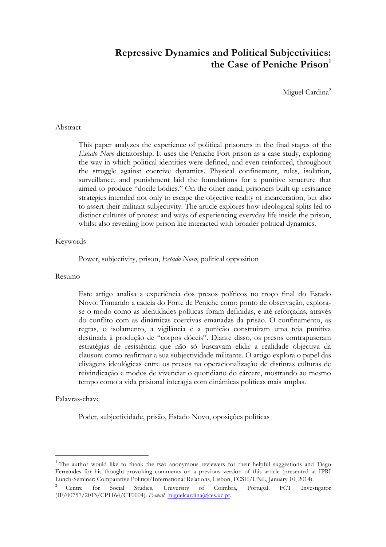# **Repressive Dynamics and Political Subjectivities:**  the Case of Peniche Prison<sup>1</sup>

Miguel Cardina<sup>2</sup>

## Abstract

This paper analyzes the experience of political prisoners in the final stages of the *Estado Novo* dictatorship. It uses the Peniche Fort prison as a case study, exploring the way in which political identities were defined, and even reinforced, throughout the struggle against coercive dynamics. Physical confinement, rules, isolation, surveillance, and punishment laid the foundations for a punitive structure that aimed to produce "docile bodies." On the other hand, prisoners built up resistance strategies intended not only to escape the objective reality of incarceration, but also to assert their militant subjectivity. The article explores how ideological splits led to distinct cultures of protest and ways of experiencing everyday life inside the prison, whilst also revealing how prison life interacted with broader political dynamics.

## Keywords

Power, subjectivity, prison, *Estado Novo*, political opposition

## Resumo

Este artigo analisa a experiência dos presos políticos no troço final do Estado Novo. Tomando a cadeia do Forte de Peniche como ponto de observação, explorase o modo como as identidades políticas foram definidas, e até reforçadas, através do conflito com as dinâmicas coercivas emanadas da prisão. O confinamento, as regras, o isolamento, a vigilância e a punicão construíram uma teia punitiva destinada à produção de "corpos dóceis". Diante disso, os presos contrapuseram estratégias de resistência que não só buscavam elidir a realidade objectiva da clausura como reafirmar a sua subjectividade militante. O artigo explora o papel das clivagens ideológicas entre os presos na operacionalização de distintas culturas de reivindicação e modos de vivenciar o quotidiano do cárcere, mostrando ao mesmo tempo como a vida prisional interagia com dinâmicas políticas mais amplas.

### Palavras-chave

 $\overline{a}$ 

Poder, subjectividade, prisão, Estado Novo, oposições políticas

<sup>&</sup>lt;sup>1</sup> The author would like to thank the two anonymous reviewers for their helpful suggestions and Tiago Fernandes for his thought-provoking comments on a previous version of this article (presented at IPRI Lunch-Seminar: Comparative Politics/International Relations, Lisbon, FCSH/UNL, January 10, 2014).

<sup>&</sup>lt;sup>2</sup> Centre for Social Studies, University of Coimbra, Portugal. FCT Investigator (IF/00757/2013/CP1164/CT0004). *E-mail*: miguelcardina@ces.uc.pt.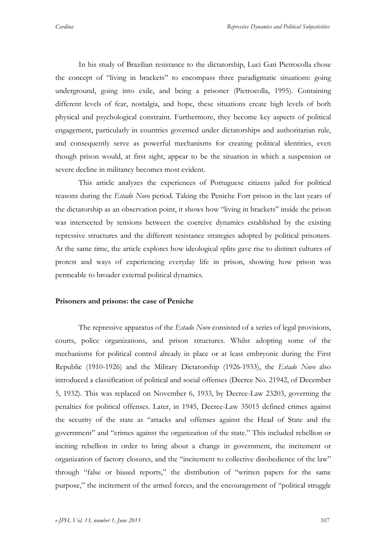In his study of Brazilian resistance to the dictatorship, Luci Gati Pietrocolla chose the concept of "living in brackets" to encompass three paradigmatic situations: going underground, going into exile, and being a prisoner (Pietrocolla, 1995). Containing different levels of fear, nostalgia, and hope, these situations create high levels of both physical and psychological constraint. Furthermore, they become key aspects of political engagement, particularly in countries governed under dictatorships and authoritarian rule, and consequently serve as powerful mechanisms for creating political identities, even though prison would, at first sight, appear to be the situation in which a suspension or severe decline in militancy becomes most evident.

This article analyzes the experiences of Portuguese citizens jailed for political reasons during the *Estado Novo* period. Taking the Peniche Fort prison in the last years of the dictatorship as an observation point, it shows how "living in brackets" inside the prison was intersected by tensions between the coercive dynamics established by the existing repressive structures and the different resistance strategies adopted by political prisoners. At the same time, the article explores how ideological splits gave rise to distinct cultures of protest and ways of experiencing everyday life in prison, showing how prison was permeable to broader external political dynamics.

## **Prisoners and prisons: the case of Peniche**

The repressive apparatus of the *Estado Novo* consisted of a series of legal provisions, courts, police organizations, and prison structures. Whilst adopting some of the mechanisms for political control already in place or at least embryonic during the First Republic (1910-1926) and the Military Dictatorship (1926-1933), the *Estado Novo* also introduced a classification of political and social offenses (Decree No. 21942, of December 5, 1932). This was replaced on November 6, 1933, by Decree-Law 23203, governing the penalties for political offenses. Later, in 1945, Decree-Law 35015 defined crimes against the security of the state as "attacks and offenses against the Head of State and the government" and "crimes against the organization of the state." This included rebellion or inciting rebellion in order to bring about a change in government, the incitement or organization of factory closures, and the "incitement to collective disobedience of the law" through "false or biased reports," the distribution of "written papers for the same purpose," the incitement of the armed forces, and the encouragement of "political struggle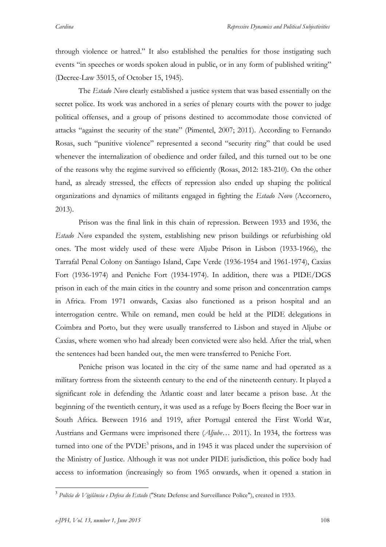through violence or hatred." It also established the penalties for those instigating such events "in speeches or words spoken aloud in public, or in any form of published writing" (Decree-Law 35015, of October 15, 1945).

The *Estado Novo* clearly established a justice system that was based essentially on the secret police. Its work was anchored in a series of plenary courts with the power to judge political offenses, and a group of prisons destined to accommodate those convicted of attacks "against the security of the state" (Pimentel, 2007; 2011). According to Fernando Rosas, such "punitive violence" represented a second "security ring" that could be used whenever the internalization of obedience and order failed, and this turned out to be one of the reasons why the regime survived so efficiently (Rosas, 2012: 183-210). On the other hand, as already stressed, the effects of repression also ended up shaping the political organizations and dynamics of militants engaged in fighting the *Estado Novo* (Accornero, 2013).

Prison was the final link in this chain of repression. Between 1933 and 1936, the *Estado Novo* expanded the system, establishing new prison buildings or refurbishing old ones. The most widely used of these were Aljube Prison in Lisbon (1933-1966), the Tarrafal Penal Colony on Santiago Island, Cape Verde (1936-1954 and 1961-1974), Caxias Fort (1936-1974) and Peniche Fort (1934-1974). In addition, there was a PIDE/DGS prison in each of the main cities in the country and some prison and concentration camps in Africa. From 1971 onwards, Caxias also functioned as a prison hospital and an interrogation centre. While on remand, men could be held at the PIDE delegations in Coimbra and Porto, but they were usually transferred to Lisbon and stayed in Aljube or Caxias, where women who had already been convicted were also held. After the trial, when the sentences had been handed out, the men were transferred to Peniche Fort.

Peniche prison was located in the city of the same name and had operated as a military fortress from the sixteenth century to the end of the nineteenth century. It played a significant role in defending the Atlantic coast and later became a prison base. At the beginning of the twentieth century, it was used as a refuge by Boers fleeing the Boer war in South Africa. Between 1916 and 1919, after Portugal entered the First World War, Austrians and Germans were imprisoned there (*Aljube*… 2011). In 1934, the fortress was turned into one of the  $PVDE<sup>3</sup>$  prisons, and in 1945 it was placed under the supervision of the Ministry of Justice. Although it was not under PIDE jurisdiction, this police body had access to information (increasingly so from 1965 onwards, when it opened a station in

<sup>3</sup> *Polícia de Vigilância e Defesa do Estado* ("State Defense and Surveillance Police"), created in 1933.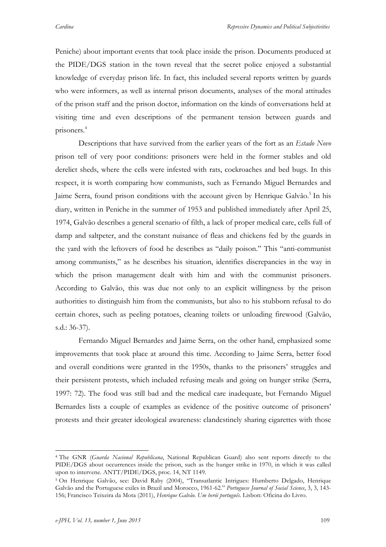Peniche) about important events that took place inside the prison. Documents produced at the PIDE/DGS station in the town reveal that the secret police enjoyed a substantial knowledge of everyday prison life. In fact, this included several reports written by guards who were informers, as well as internal prison documents, analyses of the moral attitudes of the prison staff and the prison doctor, information on the kinds of conversations held at visiting time and even descriptions of the permanent tension between guards and prisoners. 4

Descriptions that have survived from the earlier years of the fort as an *Estado Novo* prison tell of very poor conditions: prisoners were held in the former stables and old derelict sheds, where the cells were infested with rats, cockroaches and bed bugs. In this respect, it is worth comparing how communists, such as Fernando Miguel Bernardes and Jaime Serra, found prison conditions with the account given by Henrique Galvão.<sup>5</sup> In his diary, written in Peniche in the summer of 1953 and published immediately after April 25, 1974, Galvão describes a general scenario of filth, a lack of proper medical care, cells full of damp and saltpeter, and the constant nuisance of fleas and chickens fed by the guards in the yard with the leftovers of food he describes as "daily poison." This "anti-communist among communists," as he describes his situation, identifies discrepancies in the way in which the prison management dealt with him and with the communist prisoners. According to Galvão, this was due not only to an explicit willingness by the prison authorities to distinguish him from the communists, but also to his stubborn refusal to do certain chores, such as peeling potatoes, cleaning toilets or unloading firewood (Galvão, s.d.: 36-37).

Fernando Miguel Bernardes and Jaime Serra, on the other hand, emphasized some improvements that took place at around this time. According to Jaime Serra, better food and overall conditions were granted in the 1950s, thanks to the prisoners' struggles and their persistent protests, which included refusing meals and going on hunger strike (Serra, 1997: 72). The food was still bad and the medical care inadequate, but Fernando Miguel Bernardes lists a couple of examples as evidence of the positive outcome of prisoners' protests and their greater ideological awareness: clandestinely sharing cigarettes with those

 <sup>4</sup> The GNR (*Guarda Nacional Republicana*, National Republican Guard) also sent reports directly to the PIDE/DGS about occurrences inside the prison, such as the hunger strike in 1970, in which it was called upon to intervene. ANTT/PIDE/DGS, proc. 14, NT 1149.

<sup>5</sup> On Henrique Galvão, see: David Raby (2004), "Transatlantic Intrigues: Humberto Delgado, Henrique Galvão and the Portuguese exiles in Brazil and Morocco, 1961-62." *Portuguese Journal of Social Science*, 3, 3, 143- 156; Francisco Teixeira da Mota (2011), *Henrique Galvão. Um herói português*. Lisbon: Oficina do Livro.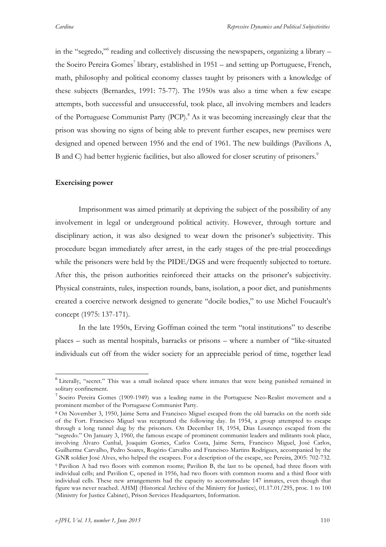in the "segredo,"6 reading and collectively discussing the newspapers, organizing a library – the Soeiro Pereira Gomes<sup>7</sup> library, established in  $1951 -$  and setting up Portuguese, French, math, philosophy and political economy classes taught by prisoners with a knowledge of these subjects (Bernardes, 1991: 75-77). The 1950s was also a time when a few escape attempts, both successful and unsuccessful, took place, all involving members and leaders of the Portuguese Communist Party (PCP).<sup>8</sup> As it was becoming increasingly clear that the prison was showing no signs of being able to prevent further escapes, new premises were designed and opened between 1956 and the end of 1961. The new buildings (Pavilions A, B and C) had better hygienic facilities, but also allowed for closer scrutiny of prisoners.<sup>9</sup>

## **Exercising power**

Imprisonment was aimed primarily at depriving the subject of the possibility of any involvement in legal or underground political activity. However, through torture and disciplinary action, it was also designed to wear down the prisoner's subjectivity. This procedure began immediately after arrest, in the early stages of the pre-trial proceedings while the prisoners were held by the PIDE/DGS and were frequently subjected to torture. After this, the prison authorities reinforced their attacks on the prisoner's subjectivity. Physical constraints, rules, inspection rounds, bans, isolation, a poor diet, and punishments created a coercive network designed to generate "docile bodies," to use Michel Foucault's concept (1975: 137-171).

In the late 1950s, Erving Goffman coined the term "total institutions" to describe places – such as mental hospitals, barracks or prisons – where a number of "like-situated individuals cut off from the wider society for an appreciable period of time, together lead

<sup>6</sup> Literally, "secret." This was a small isolated space where inmates that were being punished remained in solitary confinement.

<sup>7</sup> Soeiro Pereira Gomes (1909-1949) was a leading name in the Portuguese Neo-Realist movement and a prominent member of the Portuguese Communist Party.

<sup>8</sup> On November 3, 1950, Jaime Serra and Francisco Miguel escaped from the old barracks on the north side of the Fort. Francisco Miguel was recaptured the following day. In 1954, a group attempted to escape through a long tunnel dug by the prisoners. On December 18, 1954, Dias Lourenço escaped from the "segredo." On January 3, 1960, the famous escape of prominent communist leaders and militants took place, involving Álvaro Cunhal, Joaquim Gomes, Carlos Costa, Jaime Serra, Francisco Miguel, José Carlos, Guilherme Carvalho, Pedro Soares, Rogério Carvalho and Francisco Martins Rodrigues, accompanied by the GNR soldier José Alves, who helped the escapees. For a description of the escape, see Pereira, 2005: 702-732. <sup>9</sup> Pavilion A had two floors with common rooms; Pavilion B, the last to be opened, had three floors with individual cells; and Pavilion C, opened in 1956, had two floors with common rooms and a third floor with individual cells. These new arrangements had the capacity to accommodate 147 inmates, even though that figure was never reached. AHMJ (Historical Archive of the Ministry for Justice), 01.17.01/295, proc. 1 to 100 (Ministry for Justice Cabinet), Prison Services Headquarters, Information.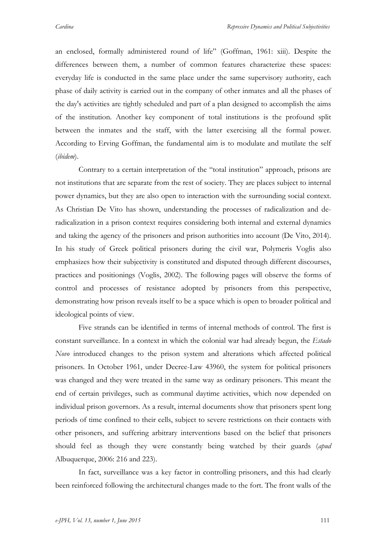an enclosed, formally administered round of life" (Goffman, 1961: xiii). Despite the differences between them, a number of common features characterize these spaces: everyday life is conducted in the same place under the same supervisory authority, each phase of daily activity is carried out in the company of other inmates and all the phases of the day's activities are tightly scheduled and part of a plan designed to accomplish the aims of the institution. Another key component of total institutions is the profound split between the inmates and the staff, with the latter exercising all the formal power. According to Erving Goffman, the fundamental aim is to modulate and mutilate the self (*ibidem*).

Contrary to a certain interpretation of the "total institution" approach, prisons are not institutions that are separate from the rest of society. They are places subject to internal power dynamics, but they are also open to interaction with the surrounding social context. As Christian De Vito has shown, understanding the processes of radicalization and deradicalization in a prison context requires considering both internal and external dynamics and taking the agency of the prisoners and prison authorities into account (De Vito, 2014). In his study of Greek political prisoners during the civil war, Polymeris Voglis also emphasizes how their subjectivity is constituted and disputed through different discourses, practices and positionings (Voglis, 2002). The following pages will observe the forms of control and processes of resistance adopted by prisoners from this perspective, demonstrating how prison reveals itself to be a space which is open to broader political and ideological points of view.

Five strands can be identified in terms of internal methods of control. The first is constant surveillance. In a context in which the colonial war had already begun, the *Estado Novo* introduced changes to the prison system and alterations which affected political prisoners. In October 1961, under Decree-Law 43960, the system for political prisoners was changed and they were treated in the same way as ordinary prisoners. This meant the end of certain privileges, such as communal daytime activities, which now depended on individual prison governors. As a result, internal documents show that prisoners spent long periods of time confined to their cells, subject to severe restrictions on their contacts with other prisoners, and suffering arbitrary interventions based on the belief that prisoners should feel as though they were constantly being watched by their guards (*apud*  Albuquerque, 2006: 216 and 223).

In fact, surveillance was a key factor in controlling prisoners, and this had clearly been reinforced following the architectural changes made to the fort. The front walls of the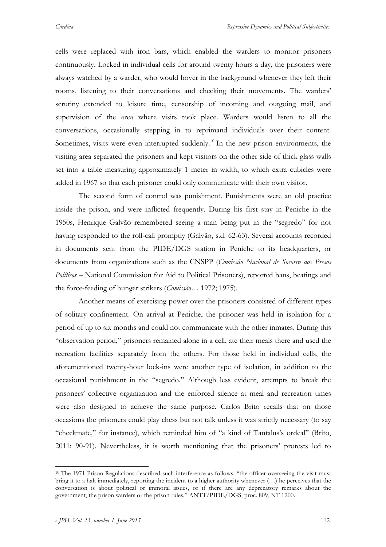cells were replaced with iron bars, which enabled the warders to monitor prisoners continuously. Locked in individual cells for around twenty hours a day, the prisoners were always watched by a warder, who would hover in the background whenever they left their rooms, listening to their conversations and checking their movements. The warders' scrutiny extended to leisure time, censorship of incoming and outgoing mail, and supervision of the area where visits took place. Warders would listen to all the conversations, occasionally stepping in to reprimand individuals over their content. Sometimes, visits were even interrupted suddenly.<sup>10</sup> In the new prison environments, the visiting area separated the prisoners and kept visitors on the other side of thick glass walls set into a table measuring approximately 1 meter in width, to which extra cubicles were added in 1967 so that each prisoner could only communicate with their own visitor.

The second form of control was punishment. Punishments were an old practice inside the prison, and were inflicted frequently. During his first stay in Peniche in the 1950s, Henrique Galvão remembered seeing a man being put in the "segredo" for not having responded to the roll-call promptly (Galvão, s.d. 62-63). Several accounts recorded in documents sent from the PIDE/DGS station in Peniche to its headquarters, or documents from organizations such as the CNSPP (*Comissão Nacional de Socorro aos Presos Políticos* – National Commission for Aid to Political Prisoners), reported bans, beatings and the force-feeding of hunger strikers (*Comissão…* 1972; 1975).

Another means of exercising power over the prisoners consisted of different types of solitary confinement. On arrival at Peniche, the prisoner was held in isolation for a period of up to six months and could not communicate with the other inmates. During this "observation period," prisoners remained alone in a cell, ate their meals there and used the recreation facilities separately from the others. For those held in individual cells, the aforementioned twenty-hour lock-ins were another type of isolation, in addition to the occasional punishment in the "segredo." Although less evident, attempts to break the prisoners' collective organization and the enforced silence at meal and recreation times were also designed to achieve the same purpose. Carlos Brito recalls that on those occasions the prisoners could play chess but not talk unless it was strictly necessary (to say "checkmate," for instance), which reminded him of "a kind of Tantalus's ordeal" (Brito, 2011: 90-91). Nevertheless, it is worth mentioning that the prisoners' protests led to

<sup>&</sup>lt;sup>10</sup> The 1971 Prison Regulations described such interference as follows: "the officer overseeing the visit must bring it to a halt immediately, reporting the incident to a higher authority whenever (…) he perceives that the conversation is about political or immoral issues, or if there are any deprecatory remarks about the government, the prison warders or the prison rules." ANTT/PIDE/DGS, proc. 809, NT 1200.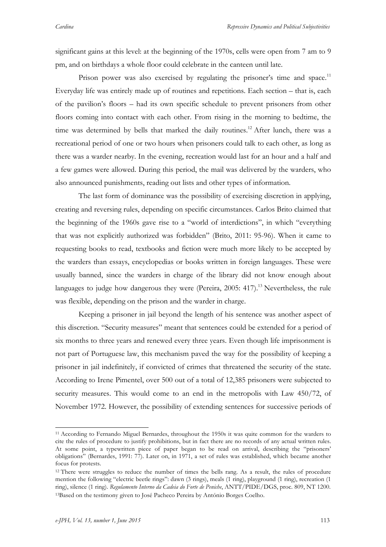significant gains at this level: at the beginning of the 1970s, cells were open from 7 am to 9 pm, and on birthdays a whole floor could celebrate in the canteen until late.

Prison power was also exercised by regulating the prisoner's time and space.<sup>11</sup> Everyday life was entirely made up of routines and repetitions. Each section – that is, each of the pavilion's floors – had its own specific schedule to prevent prisoners from other floors coming into contact with each other. From rising in the morning to bedtime, the time was determined by bells that marked the daily routines.<sup>12</sup> After lunch, there was a recreational period of one or two hours when prisoners could talk to each other, as long as there was a warder nearby. In the evening, recreation would last for an hour and a half and a few games were allowed. During this period, the mail was delivered by the warders, who also announced punishments, reading out lists and other types of information.

The last form of dominance was the possibility of exercising discretion in applying, creating and reversing rules, depending on specific circumstances. Carlos Brito claimed that the beginning of the 1960s gave rise to a "world of interdictions", in which "everything that was not explicitly authorized was forbidden" (Brito, 2011: 95-96). When it came to requesting books to read, textbooks and fiction were much more likely to be accepted by the warders than essays, encyclopedias or books written in foreign languages. These were usually banned, since the warders in charge of the library did not know enough about languages to judge how dangerous they were (Pereira, 2005: 417).<sup>13</sup> Nevertheless, the rule was flexible, depending on the prison and the warder in charge.

Keeping a prisoner in jail beyond the length of his sentence was another aspect of this discretion. "Security measures" meant that sentences could be extended for a period of six months to three years and renewed every three years. Even though life imprisonment is not part of Portuguese law, this mechanism paved the way for the possibility of keeping a prisoner in jail indefinitely, if convicted of crimes that threatened the security of the state. According to Irene Pimentel, over 500 out of a total of 12,385 prisoners were subjected to security measures. This would come to an end in the metropolis with Law 450/72, of November 1972. However, the possibility of extending sentences for successive periods of

 <sup>11</sup> According to Fernando Miguel Bernardes, throughout the 1950s it was quite common for the warders to cite the rules of procedure to justify prohibitions, but in fact there are no records of any actual written rules. At some point, a typewritten piece of paper began to be read on arrival, describing the "prisoners' obligations" (Bernardes, 1991: 77). Later on, in 1971, a set of rules was established, which became another focus for protests.

<sup>&</sup>lt;sup>12</sup> There were struggles to reduce the number of times the bells rang. As a result, the rules of procedure mention the following "electric beetle rings": dawn (3 rings), meals (1 ring), playground (1 ring), recreation (1 ring), silence (1 ring). *Regulamento Interno da Cadeia do Forte de Peniche*, ANTT/PIDE/DGS, proc. 809, NT 1200. 13Based on the testimony given to José Pacheco Pereira by António Borges Coelho.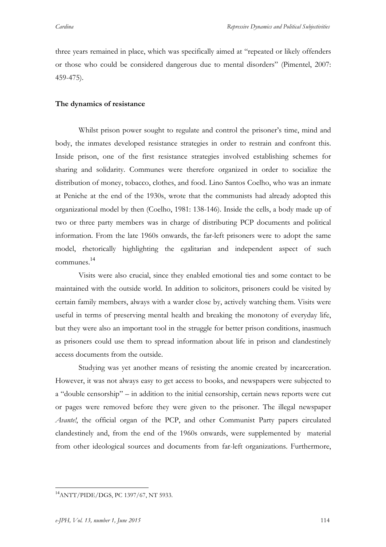three years remained in place, which was specifically aimed at "repeated or likely offenders or those who could be considered dangerous due to mental disorders" (Pimentel, 2007: 459-475).

## **The dynamics of resistance**

Whilst prison power sought to regulate and control the prisoner's time, mind and body, the inmates developed resistance strategies in order to restrain and confront this. Inside prison, one of the first resistance strategies involved establishing schemes for sharing and solidarity. Communes were therefore organized in order to socialize the distribution of money, tobacco, clothes, and food. Lino Santos Coelho, who was an inmate at Peniche at the end of the 1930s, wrote that the communists had already adopted this organizational model by then (Coelho, 1981: 138-146). Inside the cells, a body made up of two or three party members was in charge of distributing PCP documents and political information. From the late 1960s onwards, the far-left prisoners were to adopt the same model, rhetorically highlighting the egalitarian and independent aspect of such communes. 14

Visits were also crucial, since they enabled emotional ties and some contact to be maintained with the outside world. In addition to solicitors, prisoners could be visited by certain family members, always with a warder close by, actively watching them. Visits were useful in terms of preserving mental health and breaking the monotony of everyday life, but they were also an important tool in the struggle for better prison conditions, inasmuch as prisoners could use them to spread information about life in prison and clandestinely access documents from the outside.

Studying was yet another means of resisting the anomie created by incarceration. However, it was not always easy to get access to books, and newspapers were subjected to a "double censorship" – in addition to the initial censorship, certain news reports were cut or pages were removed before they were given to the prisoner. The illegal newspaper *Avante!*, the official organ of the PCP, and other Communist Party papers circulated clandestinely and, from the end of the 1960s onwards, were supplemented by material from other ideological sources and documents from far-left organizations. Furthermore,

<sup>14</sup>ANTT/PIDE/DGS, PC 1397/67, NT 5933.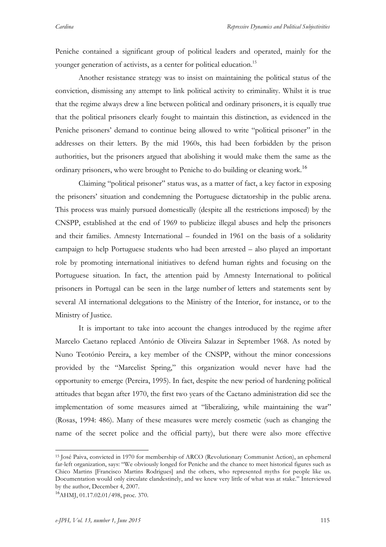Peniche contained a significant group of political leaders and operated, mainly for the younger generation of activists, as a center for political education.<sup>15</sup>

Another resistance strategy was to insist on maintaining the political status of the conviction, dismissing any attempt to link political activity to criminality. Whilst it is true that the regime always drew a line between political and ordinary prisoners, it is equally true that the political prisoners clearly fought to maintain this distinction, as evidenced in the Peniche prisoners' demand to continue being allowed to write "political prisoner" in the addresses on their letters. By the mid 1960s, this had been forbidden by the prison authorities, but the prisoners argued that abolishing it would make them the same as the ordinary prisoners, who were brought to Peniche to do building or cleaning work.<sup>16</sup>

Claiming "political prisoner" status was, as a matter of fact, a key factor in exposing the prisoners' situation and condemning the Portuguese dictatorship in the public arena. This process was mainly pursued domestically (despite all the restrictions imposed) by the CNSPP, established at the end of 1969 to publicize illegal abuses and help the prisoners and their families. Amnesty International – founded in 1961 on the basis of a solidarity campaign to help Portuguese students who had been arrested – also played an important role by promoting international initiatives to defend human rights and focusing on the Portuguese situation. In fact, the attention paid by Amnesty International to political prisoners in Portugal can be seen in the large number of letters and statements sent by several AI international delegations to the Ministry of the Interior, for instance, or to the Ministry of Justice.

It is important to take into account the changes introduced by the regime after Marcelo Caetano replaced António de Oliveira Salazar in September 1968. As noted by Nuno Teotónio Pereira, a key member of the CNSPP, without the minor concessions provided by the "Marcelist Spring," this organization would never have had the opportunity to emerge (Pereira, 1995). In fact, despite the new period of hardening political attitudes that began after 1970, the first two years of the Caetano administration did see the implementation of some measures aimed at "liberalizing, while maintaining the war" (Rosas, 1994: 486). Many of these measures were merely cosmetic (such as changing the name of the secret police and the official party), but there were also more effective

 <sup>15</sup> José Paiva, convicted in 1970 for membership of ARCO (Revolutionary Communist Action), an ephemeral far-left organization, says: "We obviously longed for Peniche and the chance to meet historical figures such as Chico Martins [Francisco Martins Rodrigues] and the others, who represented myths for people like us. Documentation would only circulate clandestinely, and we knew very little of what was at stake." Interviewed by the author, December 4, 2007.

 $^{16}$ AHMJ, 01.17.02.01/498, proc. 370.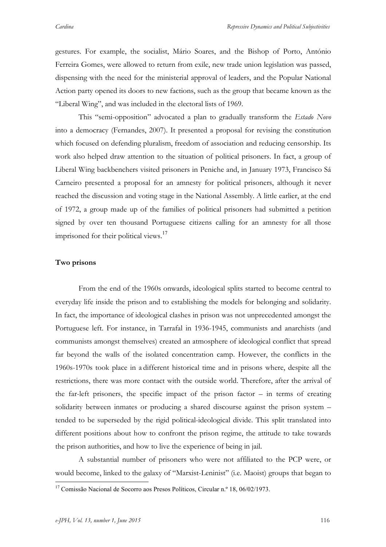gestures. For example, the socialist, Mário Soares, and the Bishop of Porto, António Ferreira Gomes, were allowed to return from exile, new trade union legislation was passed, dispensing with the need for the ministerial approval of leaders, and the Popular National Action party opened its doors to new factions, such as the group that became known as the "Liberal Wing", and was included in the electoral lists of 1969.

This "semi-opposition" advocated a plan to gradually transform the *Estado Novo* into a democracy (Fernandes, 2007). It presented a proposal for revising the constitution which focused on defending pluralism, freedom of association and reducing censorship. Its work also helped draw attention to the situation of political prisoners. In fact, a group of Liberal Wing backbenchers visited prisoners in Peniche and, in January 1973, Francisco Sá Carneiro presented a proposal for an amnesty for political prisoners, although it never reached the discussion and voting stage in the National Assembly. A little earlier, at the end of 1972, a group made up of the families of political prisoners had submitted a petition signed by over ten thousand Portuguese citizens calling for an amnesty for all those imprisoned for their political views.<sup>17</sup>

## **Two prisons**

From the end of the 1960s onwards, ideological splits started to become central to everyday life inside the prison and to establishing the models for belonging and solidarity. In fact, the importance of ideological clashes in prison was not unprecedented amongst the Portuguese left. For instance, in Tarrafal in 1936-1945, communists and anarchists (and communists amongst themselves) created an atmosphere of ideological conflict that spread far beyond the walls of the isolated concentration camp. However, the conflicts in the 1960s-1970s took place in a different historical time and in prisons where, despite all the restrictions, there was more contact with the outside world. Therefore, after the arrival of the far-left prisoners, the specific impact of the prison factor – in terms of creating solidarity between inmates or producing a shared discourse against the prison system – tended to be superseded by the rigid political-ideological divide. This split translated into different positions about how to confront the prison regime, the attitude to take towards the prison authorities, and how to live the experience of being in jail.

A substantial number of prisoners who were not affiliated to the PCP were, or would become, linked to the galaxy of "Marxist-Leninist" (i.e. Maoist) groups that began to

<sup>&</sup>lt;sup>17</sup> Comissão Nacional de Socorro aos Presos Políticos, Circular n.º 18, 06/02/1973.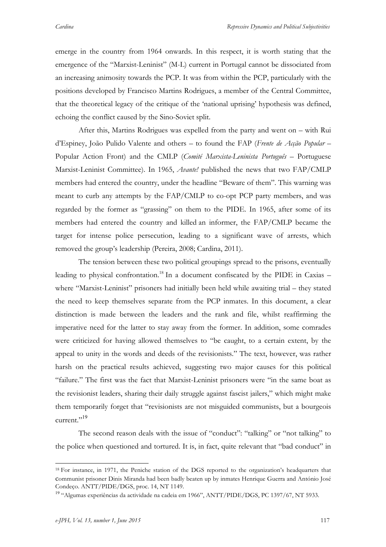emerge in the country from 1964 onwards. In this respect, it is worth stating that the emergence of the "Marxist-Leninist" (M-L) current in Portugal cannot be dissociated from an increasing animosity towards the PCP. It was from within the PCP, particularly with the positions developed by Francisco Martins Rodrigues, a member of the Central Committee, that the theoretical legacy of the critique of the 'national uprising' hypothesis was defined, echoing the conflict caused by the Sino-Soviet split.

After this, Martins Rodrigues was expelled from the party and went on – with Rui d'Espiney, João Pulido Valente and others – to found the FAP (*Frente de Acção Popular* – Popular Action Front) and the CMLP (*Comité Marxista-Leninista Português* – Portuguese Marxist-Leninist Committee). In 1965, *Avante!* published the news that two FAP/CMLP members had entered the country, under the headline "Beware of them". This warning was meant to curb any attempts by the FAP/CMLP to co-opt PCP party members, and was regarded by the former as "grassing" on them to the PIDE. In 1965, after some of its members had entered the country and killed an informer, the FAP/CMLP became the target for intense police persecution, leading to a significant wave of arrests, which removed the group's leadership (Pereira, 2008; Cardina, 2011).

The tension between these two political groupings spread to the prisons, eventually leading to physical confrontation.<sup>18</sup> In a document confiscated by the PIDE in Caxias – where "Marxist-Leninist" prisoners had initially been held while awaiting trial – they stated the need to keep themselves separate from the PCP inmates. In this document, a clear distinction is made between the leaders and the rank and file, whilst reaffirming the imperative need for the latter to stay away from the former. In addition, some comrades were criticized for having allowed themselves to "be caught, to a certain extent, by the appeal to unity in the words and deeds of the revisionists." The text, however, was rather harsh on the practical results achieved, suggesting two major causes for this political "failure." The first was the fact that Marxist-Leninist prisoners were "in the same boat as the revisionist leaders, sharing their daily struggle against fascist jailers," which might make them temporarily forget that "revisionists are not misguided communists, but a bourgeois current."<sup>19</sup>

The second reason deals with the issue of "conduct": "talking" or "not talking" to the police when questioned and tortured. It is, in fact, quite relevant that "bad conduct" in

<sup>&</sup>lt;sup>18</sup> For instance, in 1971, the Peniche station of the DGS reported to the organization's headquarters that communist prisoner Dinis Miranda had been badly beaten up by inmates Henrique Guerra and António José Condeço. ANTT/PIDE/DGS, proc. 14, NT 1149.

<sup>&</sup>lt;sup>19</sup> "Algumas experiências da actividade na cadeia em 1966", ANTT/PIDE/DGS, PC 1397/67, NT 5933.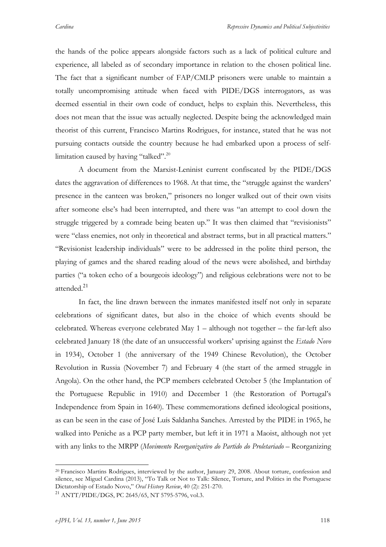the hands of the police appears alongside factors such as a lack of political culture and experience, all labeled as of secondary importance in relation to the chosen political line. The fact that a significant number of FAP/CMLP prisoners were unable to maintain a totally uncompromising attitude when faced with PIDE/DGS interrogators, as was deemed essential in their own code of conduct, helps to explain this. Nevertheless, this does not mean that the issue was actually neglected. Despite being the acknowledged main theorist of this current, Francisco Martins Rodrigues, for instance, stated that he was not pursuing contacts outside the country because he had embarked upon a process of selflimitation caused by having "talked".<sup>20</sup>

A document from the Marxist-Leninist current confiscated by the PIDE/DGS dates the aggravation of differences to 1968. At that time, the "struggle against the warders" presence in the canteen was broken," prisoners no longer walked out of their own visits after someone else's had been interrupted, and there was "an attempt to cool down the struggle triggered by a comrade being beaten up." It was then claimed that "revisionists" were "class enemies, not only in theoretical and abstract terms, but in all practical matters." "Revisionist leadership individuals" were to be addressed in the polite third person, the playing of games and the shared reading aloud of the news were abolished, and birthday parties ("a token echo of a bourgeois ideology") and religious celebrations were not to be attended. 21

In fact, the line drawn between the inmates manifested itself not only in separate celebrations of significant dates, but also in the choice of which events should be celebrated. Whereas everyone celebrated May 1 – although not together – the far-left also celebrated January 18 (the date of an unsuccessful workers' uprising against the *Estado Novo* in 1934), October 1 (the anniversary of the 1949 Chinese Revolution), the October Revolution in Russia (November 7) and February 4 (the start of the armed struggle in Angola). On the other hand, the PCP members celebrated October 5 (the Implantation of the Portuguese Republic in 1910) and December 1 (the Restoration of Portugal's Independence from Spain in 1640). These commemorations defined ideological positions, as can be seen in the case of José Luís Saldanha Sanches. Arrested by the PIDE in 1965, he walked into Peniche as a PCP party member, but left it in 1971 a Maoist, although not yet with any links to the MRPP (*Movimento Reorganizativo do Partido do Proletariado* – Reorganizing

<sup>&</sup>lt;sup>20</sup> Francisco Martins Rodrigues, interviewed by the author, January 29, 2008. About torture, confession and silence, see Miguel Cardina (2013), "To Talk or Not to Talk: Silence, Torture, and Politics in the Portuguese Dictatorship of Estado Novo," *Oral History Review*, 40 (2): 251-270.

<sup>21</sup> ANTT/PIDE/DGS, PC 2645/65, NT 5795-5796, vol.3.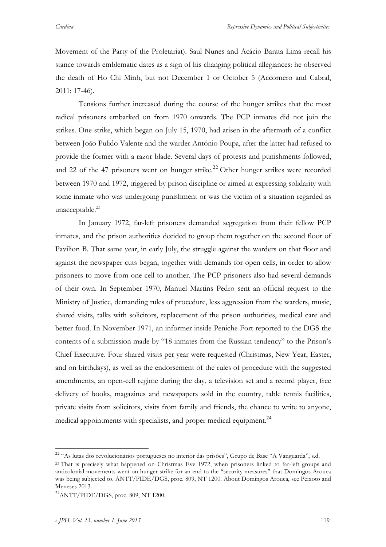Movement of the Party of the Proletariat). Saul Nunes and Acácio Barata Lima recall his stance towards emblematic dates as a sign of his changing political allegiances: he observed the death of Ho Chi Minh, but not December 1 or October 5 (Accornero and Cabral, 2011: 17-46).

Tensions further increased during the course of the hunger strikes that the most radical prisoners embarked on from 1970 onwards. The PCP inmates did not join the strikes. One strike, which began on July 15, 1970, had arisen in the aftermath of a conflict between João Pulido Valente and the warder António Poupa, after the latter had refused to provide the former with a razor blade. Several days of protests and punishments followed, and 22 of the 47 prisoners went on hunger strike.<sup>22</sup> Other hunger strikes were recorded between 1970 and 1972, triggered by prison discipline or aimed at expressing solidarity with some inmate who was undergoing punishment or was the victim of a situation regarded as unacceptable. $^{23}$ 

In January 1972, far-left prisoners demanded segregation from their fellow PCP inmates, and the prison authorities decided to group them together on the second floor of Pavilion B. That same year, in early July, the struggle against the warders on that floor and against the newspaper cuts began, together with demands for open cells, in order to allow prisoners to move from one cell to another. The PCP prisoners also had several demands of their own. In September 1970, Manuel Martins Pedro sent an official request to the Ministry of Justice, demanding rules of procedure, less aggression from the warders, music, shared visits, talks with solicitors, replacement of the prison authorities, medical care and better food. In November 1971, an informer inside Peniche Fort reported to the DGS the contents of a submission made by "18 inmates from the Russian tendency" to the Prison's Chief Executive. Four shared visits per year were requested (Christmas, New Year, Easter, and on birthdays), as well as the endorsement of the rules of procedure with the suggested amendments, an open-cell regime during the day, a television set and a record player, free delivery of books, magazines and newspapers sold in the country, table tennis facilities, private visits from solicitors, visits from family and friends, the chance to write to anyone, medical appointments with specialists, and proper medical equipment.<sup>24</sup>

<sup>22</sup> "As lutas dos revolucionários portugueses no interior das prisões", Grupo de Base "A Vanguarda", s.d. <sup>23</sup> That is precisely what happened on Christmas Eve 1972, when prisoners linked to far-left groups and anticolonial movements went on hunger strike for an end to the "security measures" that Domingos Arouca was being subjected to. ANTT/PIDE/DGS, proc. 809, NT 1200. About Domingos Arouca, see Peixoto and Meneses 2013.

 $^{24}$ ANTT/PIDE/DGS, proc. 809, NT 1200.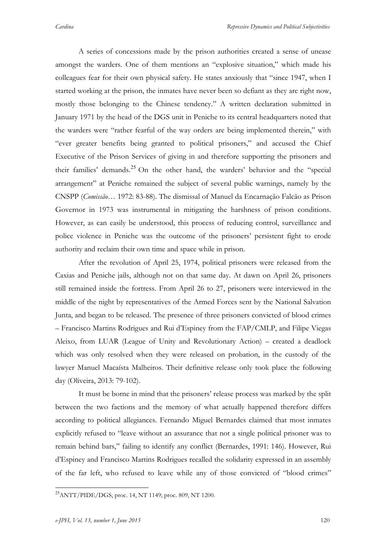A series of concessions made by the prison authorities created a sense of unease amongst the warders. One of them mentions an "explosive situation," which made his colleagues fear for their own physical safety. He states anxiously that "since 1947, when I started working at the prison, the inmates have never been so defiant as they are right now, mostly those belonging to the Chinese tendency." A written declaration submitted in January 1971 by the head of the DGS unit in Peniche to its central headquarters noted that the warders were "rather fearful of the way orders are being implemented therein," with "ever greater benefits being granted to political prisoners," and accused the Chief Executive of the Prison Services of giving in and therefore supporting the prisoners and their families' demands. <sup>25</sup> On the other hand, the warders' behavior and the "special arrangement" at Peniche remained the subject of several public warnings, namely by the CNSPP (*Comissão*… 1972: 83-88). The dismissal of Manuel da Encarnação Falcão as Prison Governor in 1973 was instrumental in mitigating the harshness of prison conditions. However, as can easily be understood, this process of reducing control, surveillance and police violence in Peniche was the outcome of the prisoners' persistent fight to erode authority and reclaim their own time and space while in prison.

After the revolution of April 25, 1974, political prisoners were released from the Caxias and Peniche jails, although not on that same day. At dawn on April 26, prisoners still remained inside the fortress. From April 26 to 27, prisoners were interviewed in the middle of the night by representatives of the Armed Forces sent by the National Salvation Junta, and began to be released. The presence of three prisoners convicted of blood crimes – Francisco Martins Rodrigues and Rui d'Espiney from the FAP/CMLP, and Filipe Viegas Aleixo, from LUAR (League of Unity and Revolutionary Action) – created a deadlock which was only resolved when they were released on probation, in the custody of the lawyer Manuel Macaísta Malheiros. Their definitive release only took place the following day (Oliveira, 2013: 79-102).

It must be borne in mind that the prisoners' release process was marked by the split between the two factions and the memory of what actually happened therefore differs according to political allegiances. Fernando Miguel Bernardes claimed that most inmates explicitly refused to "leave without an assurance that not a single political prisoner was to remain behind bars," failing to identify any conflict (Bernardes, 1991: 146). However, Rui d'Espiney and Francisco Martins Rodrigues recalled the solidarity expressed in an assembly of the far left, who refused to leave while any of those convicted of "blood crimes"

<sup>&</sup>lt;sup>25</sup>ANTT/PIDE/DGS, proc. 14, NT 1149; proc. 809, NT 1200.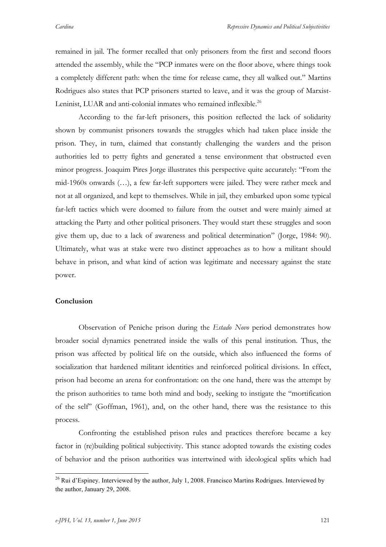remained in jail. The former recalled that only prisoners from the first and second floors attended the assembly, while the "PCP inmates were on the floor above, where things took a completely different path: when the time for release came, they all walked out." Martins Rodrigues also states that PCP prisoners started to leave, and it was the group of Marxist-Leninist, LUAR and anti-colonial inmates who remained inflexible.<sup>26</sup>

According to the far-left prisoners, this position reflected the lack of solidarity shown by communist prisoners towards the struggles which had taken place inside the prison. They, in turn, claimed that constantly challenging the warders and the prison authorities led to petty fights and generated a tense environment that obstructed even minor progress. Joaquim Pires Jorge illustrates this perspective quite accurately: "From the mid-1960s onwards (…), a few far-left supporters were jailed. They were rather meek and not at all organized, and kept to themselves. While in jail, they embarked upon some typical far-left tactics which were doomed to failure from the outset and were mainly aimed at attacking the Party and other political prisoners. They would start these struggles and soon give them up, due to a lack of awareness and political determination" (Jorge, 1984: 90). Ultimately, what was at stake were two distinct approaches as to how a militant should behave in prison, and what kind of action was legitimate and necessary against the state power.

## **Conclusion**

Observation of Peniche prison during the *Estado Novo* period demonstrates how broader social dynamics penetrated inside the walls of this penal institution. Thus, the prison was affected by political life on the outside, which also influenced the forms of socialization that hardened militant identities and reinforced political divisions. In effect, prison had become an arena for confrontation: on the one hand, there was the attempt by the prison authorities to tame both mind and body, seeking to instigate the "mortification of the self" (Goffman, 1961), and, on the other hand, there was the resistance to this process.

Confronting the established prison rules and practices therefore became a key factor in (re)building political subjectivity. This stance adopted towards the existing codes of behavior and the prison authorities was intertwined with ideological splits which had

 $^{26}$  Rui d'Espiney. Interviewed by the author, July 1, 2008. Francisco Martins Rodrigues. Interviewed by the author, January 29, 2008.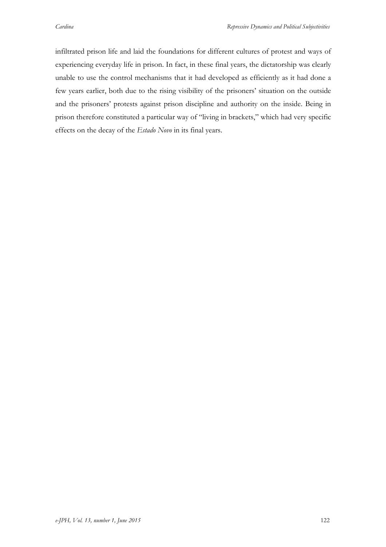infiltrated prison life and laid the foundations for different cultures of protest and ways of experiencing everyday life in prison. In fact, in these final years, the dictatorship was clearly unable to use the control mechanisms that it had developed as efficiently as it had done a few years earlier, both due to the rising visibility of the prisoners' situation on the outside and the prisoners' protests against prison discipline and authority on the inside. Being in prison therefore constituted a particular way of "living in brackets," which had very specific effects on the decay of the *Estado Novo* in its final years.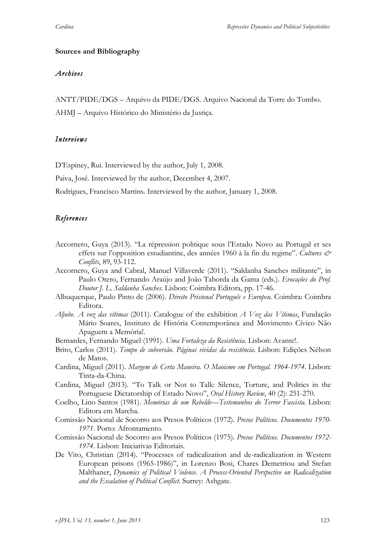## **Sources and Bibliography**

## *Archives*

ANTT/PIDE/DGS – Arquivo da PIDE/DGS. Arquivo Nacional da Torre do Tombo.

AHMJ – Arquivo Histórico do Ministério da Justiça.

## *Interviews*

D'Espiney, Rui. Interviewed by the author, July 1, 2008.

Paiva, José. Interviewed by the author, December 4, 2007.

Rodrigues, Francisco Martins. Interviewed by the author, January 1, 2008.

# *References*

- Accornero, Guya (2013). "La répression politique sous l'Estado Novo au Portugal et ses effets sur l'opposition estudiantine, des années 1960 à la fin du regime". Cultures & *Conflits*, 89, 93-112.
- Accornero, Guya and Cabral, Manuel Villaverde (2011). "Saldanha Sanches militante", in Paulo Otero, Fernando Araújo and João Taborda da Gama (eds.). *Evocações do Prof. Doutor J. L. Saldanha Sanches*. Lisbon: Coimbra Editora, pp. 17-46.
- Albuquerque, Paulo Pinto de (2006). *Direito Prisional Português e Europeu*. Coimbra: Coimbra Editora.
- *Aljube. A voz das vítimas* (2011). Catalogue of the exhibition *A Voz das Vítimas*, Fundação Mário Soares, Instituto de História Contemporânea and Movimento Cívico Não Apaguem a Memória!.
- Bernardes, Fernando Miguel (1991). *Uma Fortaleza da Resistência*. Lisbon: Avante!.
- Brito, Carlos (2011). *Tempo de subversão. Páginas vividas da resistência*. Lisbon: Edições Nélson de Matos.
- Cardina, Miguel (2011). *Margem de Certa Maneira. O Maoismo em Portugal. 1964-1974*. Lisbon: Tinta-da-China.
- Cardina, Miguel (2013). "To Talk or Not to Talk: Silence, Torture, and Politics in the Portuguese Dictatorship of Estado Novo", *Oral History Review*, 40 (2): 251-270.
- Coelho, Lino Santos (1981). *Memórias de um Rebelde—Testemunhos do Terror Fascista*. Lisbon: Editora em Marcha.
- Comissão Nacional de Socorro aos Presos Políticos (1972). *Presos Políticos. Documentos 1970- 1971*. Porto: Afrontamento.
- Comissão Nacional de Socorro aos Presos Políticos (1975). *Presos Políticos. Documentos 1972- 1974*. Lisbon: Iniciativas Editoriais.
- De Vito, Christian (2014). "Processes of radicalization and de-radicalization in Western European prisons (1965-1986)", in Lorenzo Bosi, Chares Demetriou and Stefan Malthaner, *Dynamics of Political Violence. A Process-Oriented Perspective on Radicalization and the Escalation of Political Conflict*. Surrey: Ashgate.